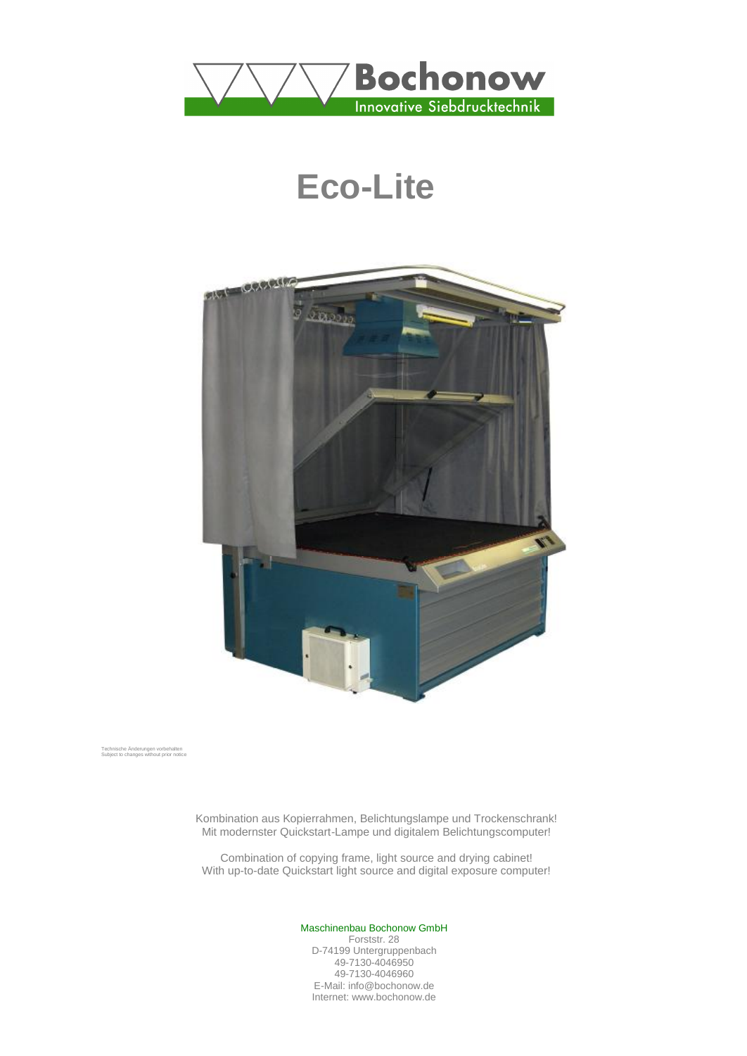

# **Eco-Lite**



Technische Änderungen vorbehalten Subject to changes without prior notice

Kombination aus Kopierrahmen, Belichtungslampe und Trockenschrank! Mit modernster Quickstart-Lampe und digitalem Belichtungscomputer!

Combination of copying frame, light source and drying cabinet! With up-to-date Quickstart light source and digital exposure computer!

#### Maschinenbau Bochonow GmbH

Forststr. 28 D-74199 Untergruppenbach 49-7130-4046950 49-7130-4046960 E-Mail: info@bochonow.de Internet: www.bochonow.de